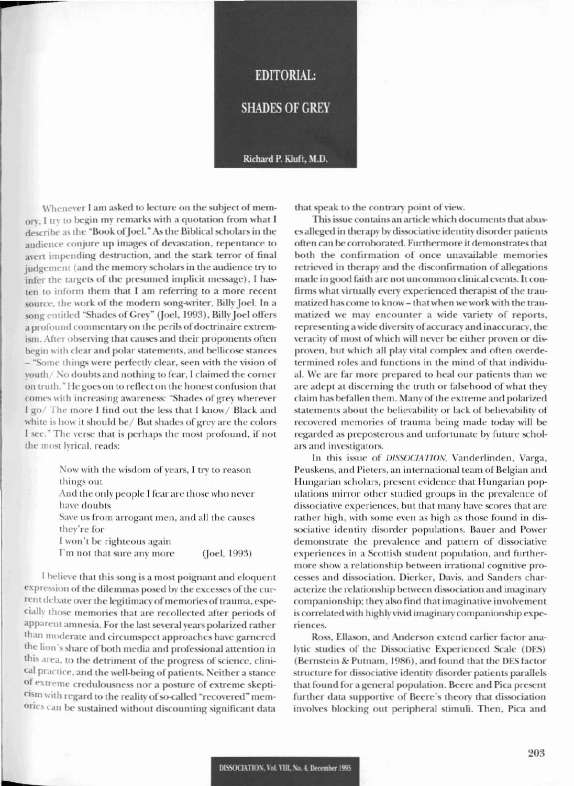## **EDITORIAL: SHADES OF GREY**

Richard P. Kluft, M.D.

Whenever I am asked to lecture on the subject of memory. I try to begin my remarks with a quotation from what I describe as the "Book of Joel." As the Biblical scholars in the audience conjure up images of devastation, repentance to avert impending destruction, and the stark terror of final judgement (and the memory scholars in the audience try to infer the targets of the presumed implicit message), I hasten to inform them that I am referring to a more recent source, the work of the modern song-writer, Billy Joel. In a song entitled "Shades of Grey" (Joel, 1993), Billy Joel offers a profound commentary on the perils of doctrinaire extremism. After observing that causes and their proponents often begin with clear and polar statements, and bellicose stances - "Some things were perfectly clear, seen with the vision of youth/No doubts and nothing to fear, I claimed the corner on truth." He goes on to reflect on the honest confusion that comes with increasing awareness: "Shades of grey wherever I go/ The more I find out the less that I know/ Black and white is how it should be/ But shades of grey are the colors I see." The verse that is perhaps the most profound, if not the most lyrical, reads:

Now with the wisdom of years, I try to reason things out And the only people I fear are those who never have doubts Save us from arrogant men, and all the causes they're for I won't be righteous again I'm not that sure any more (Joel, 1993) I believe that this song is a most poignant and eloquent

expression of the dilemmas posed by the excesses of the current debate over the legitimacy of memories of trauma, especially those memories that are recollected after periods of apparent amnesia. For the last several years polarized rather than moderate and circumspect approaches have garnered the lion's share of both media and professional attention in this area, to the detriment of the progress of science, clinical practice, and the well-being of patients. Neither a stance of extreme credulousness nor a posture of extreme skepticism with regard to the reality of so-called "recovered" memories can be sustained without discounting significant data

that speak to the contrary point of view.

This issue contains an article which documents that abuses alleged in therapy by dissociative identity disorder patients often can be corroborated. Furthermore it demonstrates that both the confirmation of once unavailable memories retrieved in therapy and the disconfirmation of allegations made in good faith are not uncommon clinical events. It confirms what virtually every experienced therapist of the traumatized has come to know - that when we work with the traumatized we may encounter a wide variety of reports. representing a wide diversity of accuracy and inaccuracy, the veracity of most of which will never be either proven or disproven, but which all play vital complex and often overdetermined roles and functions in the mind of that individual. We are far more prepared to heal our patients than we are adept at discerning the truth or falsehood of what they claim has befallen them. Many of the extreme and polarized statements about the believability or lack of believability of recovered memories of trauma being made today will be regarded as preposterous and unfortunate by future scholars and investigators.

In this issue of DISSOCIATION, Vanderlinden, Varga, Peuskens, and Pieters, an international team of Belgian and Hungarian scholars, present evidence that Hungarian populations mirror other studied groups in the prevalence of dissociative experiences, but that many have scores that are rather high, with some even as high as those found in dissociative identity disorder populations. Bauer and Power demonstrate the prevalence and pattern of dissociative experiences in a Scottish student population, and furthermore show a relationship between irrational cognitive processes and dissociation. Dierker, Davis, and Sanders characterize the relationship between dissociation and imaginary companionship; they also find that imaginative involvement is correlated with highly vivid imaginary companionship experiences.

Ross, Ellason, and Anderson extend earlier factor analytic studies of the Dissociative Experienced Scale (DES) (Bernstein & Putnam, 1986), and found that the DES factor structure for dissociative identity disorder patients parallels that found for a general population. Beere and Pica present further data supportive of Beere's theory that dissociation involves blocking out peripheral stimuli. Then, Pica and